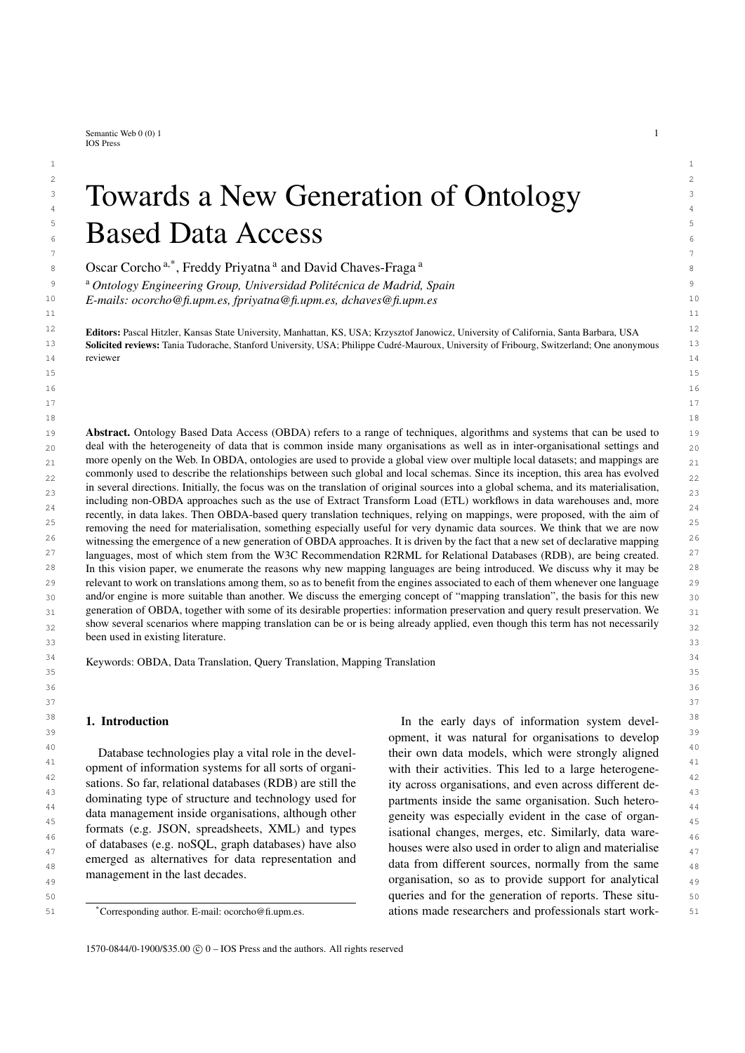Semantic Web  $0(0)$  1 1 IOS Press

# $2 \times 2$  $\frac{3}{3}$  lowards a New Generation of Chitology  $\frac{3}{3}$ <sup>3</sup> Towards a New Generation of Ontology  $\overline{5}$  5  $\overline{1}$   $\overline{1}$   $\overline{1}$   $\overline{1}$   $\overline{1}$   $\overline{1}$   $\overline{1}$   $\overline{1}$   $\overline{1}$   $\overline{1}$   $\overline{1}$   $\overline{1}$   $\overline{1}$   $\overline{1}$   $\overline{1}$   $\overline{1}$   $\overline{1}$   $\overline{1}$   $\overline{1}$   $\overline{1}$   $\overline{1}$   $\overline{1}$   $\overline{1}$   $\over$ Executed Data Access **6** 7 7

8 8 8 8 0 Osc[a](#page-0-0)r Corcho a[,\\*](#page-0-1), Freddy Priyatna a and David Chaves-Fraga a base of the set of a set of a set of a set of a set of a set of a set of a set of a set of a set of a set of a set of a set of a set of a set of a set

<span id="page-0-0"></span>9 9 <sup>a</sup> *Ontology Engineering Group, Universidad Politécnica de Madrid, Spain*

10 10 *E-mails: [ocorcho@fi.upm.es,](mailto:ocorcho@fi.upm.es) [fpriyatna@fi.upm.es,](mailto:fpriyatna@fi.upm.es) [dchaves@fi.upm.es](mailto:dchaves@fi.upm.es)*

 $12$  **Editors:** Pascal Hitzler, Kansas State University, Manhattan, KS, USA; Krzysztof Janowicz, University of California, Santa Barbara, USA  $12$ <sup>13</sup> Solicited reviews: Tania Tudorache, Stanford University, USA; Philippe Cudré-Mauroux, University of Fribourg, Switzerland; One anonymous<sup>13</sup> 14 reviewer and the set of the set of the set of the set of the set of the set of the set of the set of the set of the set of the set of the set of the set of the set of the set of the set of the set of the set of the set reviewer

19 **Abstract.** Ontology Based Data Access (OBDA) refers to a range of techniques, algorithms and systems that can be used to 19 <sub>20</sub> deal with the heterogeneity of data that is common inside many organisations as well as in inter-organisational settings and <sub>20</sub>  $_{21}$  more openly on the Web. In OBDA, ontologies are used to provide a global view over multiple local datasets; and mappings are  $_{21}$ commonly used to describe the relationships between such global and local schemas. Since its inception, this area has evolved  $_{22}$ 23 in several directions. Initially, the focus was on the translation of original sources into a global schema, and its materialisation,  $\frac{24}{\sqrt{12}}$  recently, in data lakes. Then OBDA-based query translation techniques, relying on mappings, were proposed, with the aim of  $\frac{24}{\sqrt{12}}$ <sup>25</sup> removing the need for materialisation, something especially useful for very dynamic data sources. We think that we are now <sup>26</sup> witnessing the emergence of a new generation of OBDA approaches. It is driven by the fact that a new set of declarative mapping <sup>26</sup>  $^{27}$  languages, most of which stem from the W3C Recommendation R2RML for Relational Databases (RDB), are being created.  $^{27}$ <sup>28</sup> In this vision paper, we enumerate the reasons why new mapping languages are being introduced. We discuss why it may be <sup>28</sup> 29 29 relevant to work on translations among them, so as to benefit from the engines associated to each of them whenever one language 30 30 and/or engine is more suitable than another. We discuss the emerging concept of "mapping translation", the basis for this new  $31$  generation of OBDA, together with some of its desirable properties: information preservation and query result preservation. We  $31$  $32$  show several scenarios where mapping translation can be or is being already applied, even though this term has not necessarily  $32$  $33 \text{ year}$  and  $\alpha$  sum  $\alpha$  and  $\alpha$ . including non-OBDA approaches such as the use of Extract Transform Load (ETL) workflows in data warehouses and, more been used in existing literature.

34 34 Keywords: OBDA, Data Translation, Query Translation, Mapping Translation

### 1. Introduction

<sup>41</sup> opment of information systems for all sorts of organi-<br>with their activities. This led to a large heterogene-42 sations. So far, relational databases (RDB) are still the ity across organisations, and even across different de-<sup>43</sup><br>dominating type of structure and technology used for partments inside the same organisation. Such hetero-<sup>44</sup><br>data management inside organisations, although other eneity was especially evident in the case of organdata management inside organisations, although other geneity was especially evident in the case of organ- $\frac{46}{46}$  formats (e.g. JSON, spreadsheets, XML) and types isational changes, merges, etc. Similarly, data ware- $\frac{47}{47}$  or databases (e.g. nosque, graph databases) have also houses were also used in order to align and materialise  $48$  emerged as alternatives for data representation and data from different sources, normally from the same  $48$ formats (e.g. JSON, spreadsheets, XML) and types of databases (e.g. noSQL, graph databases) have also emerged as alternatives for data representation and management in the last decades.

 $38$  **1. Introduction 1. Introduction 1. Introduction 1. Introduction 1.** In the early days of information system devel-39 39 opment, it was natural for organisations to develop <sup>40</sup> Database technologies play a vital role in the devel-<br>their own data models, which were strongly aligned<sup>40</sup> <sup>49</sup> Hanagement in the last decades.<br>
<sup>49</sup> organisation, so as to provide support for analytical 50 50 queries and for the generation of reports. These situ-51 51 ations made researchers and professionals start worktheir own data models, which were strongly aligned with their activities. This led to a large heterogeneity across organisations, and even across different departments inside the same organisation. Such hetero-

<span id="page-0-1"></span><sup>\*</sup>Corresponding author. E-mail: [ocorcho@fi.upm.es.](mailto:ocorcho@fi.upm.es)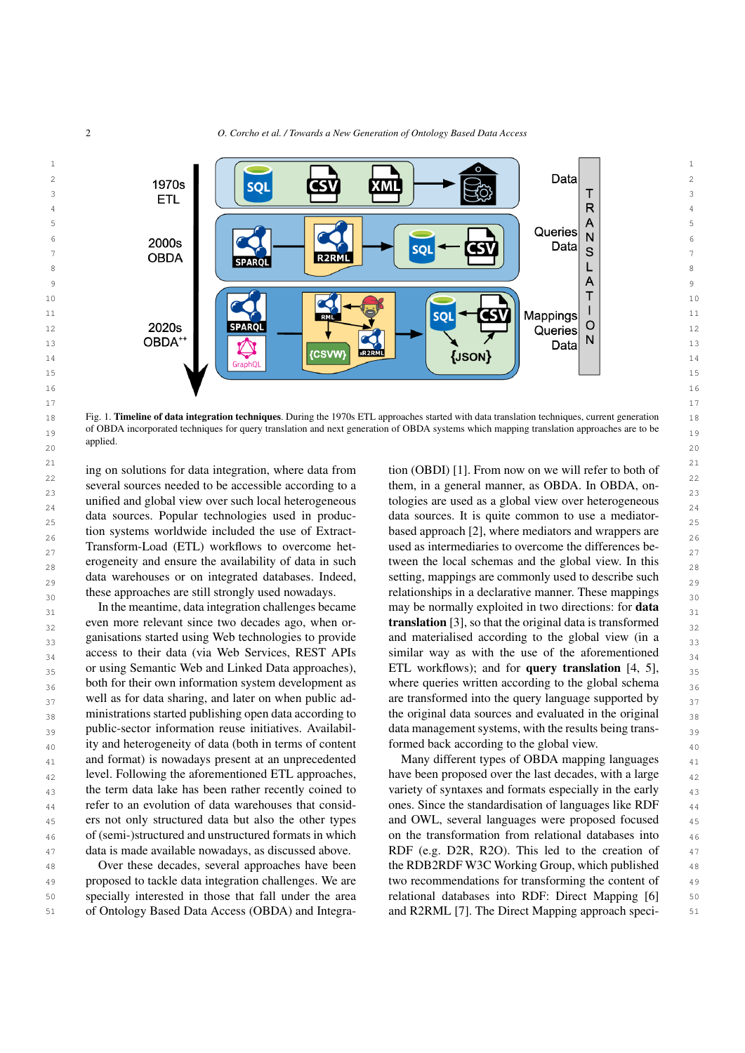<span id="page-1-0"></span>

18 Fig. 1. Timeline of data integration techniques. During the 1970s ETL approaches started with data translation techniques, current generation 18  $_{19}$  of OBDA incorporated techniques for query translation and next generation of OBDA systems which mapping translation approaches are to be  $_{19}$  $20$   $\mu$   $\mu$ applied.

 $\frac{21}{22}$  ing on solutions for data integration, where data from tion (OBDI) [1]. From now on we will refer to both of  $\frac{21}{22}$  $\frac{22}{22}$  several sources needed to be accessible according to a them, in a general manner, as OBDA. In OBDA, on- $\frac{23}{23}$  several sources needed to be accessible according to a them, in a general manner, as OBDA. In OBDA, onunified and global view over such local heterogeneous tologies are used as a global view over heterogeneous  $\frac{24}{24}$ data sources. Popular technologies used in produc-<br> $25$  data sources. It is quite common to use a mediator- $_{26}$  tion systems worldwide included the use of Extract-<br>based approach [\[2\]](#page-6-1), where mediators and wrappers are Transform-Load (ETL) workflows to overcome het-<br> $27$  used as intermediaries to overcome the differences beerogeneity and ensure the availability of data in such tween the local schemas and the global view. In this  $\frac{28}{28}$  $_{29}$  data warehouses or on integrated databases. Indeed, setting, mappings are commonly used to describe such  $_{29}$ unified and global view over such local heterogeneous tion systems worldwide included the use of Extractdata warehouses or on integrated databases. Indeed, these approaches are still strongly used nowadays.

 $32$  even more relevant since two decades ago, when or-<br>translation [\[3\]](#page-6-2), so that the original data is transformed  $_{33}$  ganisations started using Web technologies to provide and materialised according to the global view (in a  $_{33}$  $_{34}$  access to their data (via Web Services, REST APIs similar way as with the use of the aforementioned  $_{34}$  $_{35}$  or using Semantic Web and Linked Data approaches), ETL workflows); and for **query translation** [\[4,](#page-6-3) [5\]](#page-6-4),  $_{35}$  $36$  both for their own information system development as where queries written according to the global schema  $36$  $_{37}$  well as for data sharing, and later on when public ad-<br>are transformed into the query language supported by  $_{37}$  $_{38}$  ministrations started publishing open data according to the original data sources and evaluated in the original  $_{38}$  $_{39}$  public-sector information reuse initiatives. Availabil- data management systems, with the results being trans-<sup>40</sup> 40<sup> $40$ </sup> ity and heterogeneity of data (both in terms of content formed back according to the global view. <sup>41</sup> and format) is nowadays present at an unprecedented Many different types of OBDA mapping languages <sup>41</sup>  $_{42}$  level. Following the aforementioned ETL approaches, have been proposed over the last decades, with a large  $_{42}$ <sup>43</sup> the term data lake has been rather recently coined to variety of syntaxes and formats especially in the early <sup>44</sup> 14<sup>4</sup> tefer to an evolution of data warehouses that consid-<br><sup>44</sup> ones. Since the standardisation of languages like RDF <sup>45</sup> ers not only structured data but also the other types and OWL, several languages were proposed focused <sup>45</sup> <sup>46</sup> of (semi-)structured and unstructured formats in which on the transformation from relational databases into 47 data is made available nowadays, as discussed above. RDF (e.g. D2R, R2O). This led to the creation of  $\frac{47}{2}$ In the meantime, data integration challenges became even more relevant since two decades ago, when oraccess to their data (via Web Services, REST APIs or using Semantic Web and Linked Data approaches), both for their own information system development as well as for data sharing, and later on when public adlevel. Following the aforementioned ETL approaches, refer to an evolution of data warehouses that considers not only structured data but also the other types data is made available nowadays, as discussed above.

48 Over these decades, several approaches have been the RDB2RDF W3C Working Group, which published 48 49 proposed to tackle data integration challenges. We are two recommendations for transforming the content of 49 50 specially interested in those that fall under the area relational databases into RDF: Direct Mapping [6] 50 Over these decades, several approaches have been

these approaches are still strongly used nowadays. The relationships in a declarative manner. These mappings  $\frac{30}{20}$  $_{31}$  In the meantime, data integration challenges became may be normally exploited in two directions: for **data** tion (OBDI) [\[1\]](#page-6-0). From now on we will refer to both of data sources. It is quite common to use a mediatorused as intermediaries to overcome the differences between the local schemas and the global view. In this and materialised according to the global view (in a the original data sources and evaluated in the original data management systems, with the results being transformed back according to the global view.

51 of Ontology Based Data Access (OBDA) and Integra- and R2RML [7]. The Direct Mapping approach speci- 51 Many different types of OBDA mapping languages variety of syntaxes and formats especially in the early on the transformation from relational databases into two recommendations for transforming the content of relational databases into RDF: Direct Mapping [\[6\]](#page-6-5) and R2RML [\[7\]](#page-6-6). The Direct Mapping approach speci-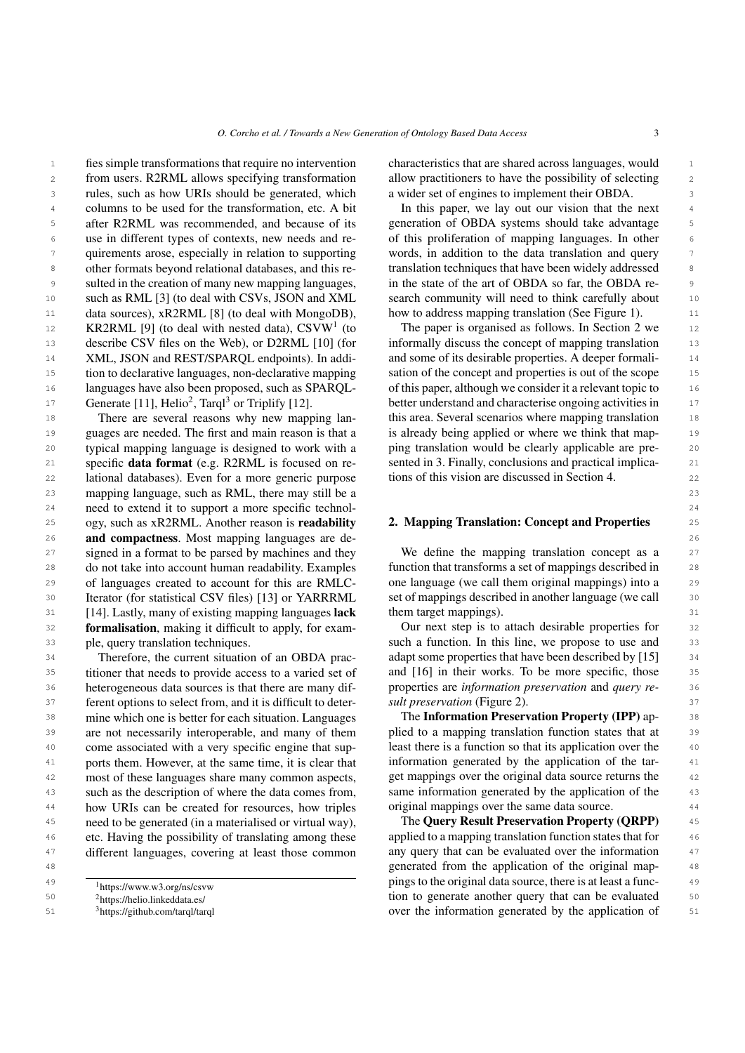<sup>1</sup> fies simple transformations that require no intervention characteristics that are shared across languages, would 2 from users. R2RML allows specifying transformation allow practitioners to have the possibility of selecting 2 3 3 rules, such as how URIs should be generated, which <sup>4</sup> columns to be used for the transformation, etc. A bit In this paper, we lay out our vision that the next <sup>4</sup> 5 5 after R2RML was recommended, and because of its <sup>6</sup> use in different types of contexts, new needs and re- of this proliferation of mapping languages. In other <sup>6</sup> 7 quirements arose, especially in relation to supporting words, in addition to the data translation and query 8 other formats beyond relational databases, and this re-<br>translation techniques that have been widely addressed 9 sulted in the creation of many new mapping languages, in the state of the art of OBDA so far, the OBDA re-10 such as RML [\[3\]](#page-6-2) (to deal with CSVs, JSON and XML search community will need to think carefully about 10 11 data sources), xR2RML [\[8\]](#page-6-7) (to deal with MongoDB), how to address mapping translation (See Figure 1). 11 12 KR2RML [\[9\]](#page-6-8) (to deal with nested data),  $CSVW<sup>1</sup>$  $CSVW<sup>1</sup>$  $CSVW<sup>1</sup>$  (to The paper is organised as follows. In Section 2 we 12 13 describe CSV files on the Web), or D2RML [\[10\]](#page-6-9) (for informally discuss the concept of mapping translation 13 14 MIL, JSON and REST/SPARQL endpoints). In addi- and some of its desirable properties. A deeper formali- 14 <sup>15</sup> tion to declarative languages, non-declarative mapping sation of the concept and properties is out of the scope <sup>15</sup> <sup>16</sup> languages have also been proposed, such as SPARQL- of this paper, although we consider it a relevant topic to use in different types of contexts, new needs and reother formats beyond relational databases, and this relanguages have also been proposed, such as SPARQL-Generate [\[11\]](#page-6-10), Helio<sup>[2](#page-2-1)</sup>, Tarq $l<sup>3</sup>$  $l<sup>3</sup>$  $l<sup>3</sup>$  or Triplify [\[12\]](#page-6-11).

18 18 this area. Several scenarios where mapping translation <sup>19</sup> guages are needed. The first and main reason is that a is already being applied or where we think that map-20 typical mapping language is designed to work with a ping translation would be clearly applicable are pre- 20 21 specific **data format** (e.g. R2RML is focused on re-<br>
21 sented in [3.](#page-3-0) Finally, conclusions and practical implica-<br>
21 22 lational databases). Even for a more generic purpose tions of this vision are discussed in Section 4. 22 23 23 mapping language, such as RML, there may still be a 24 24 need to extend it to support a more specific technol-25 ogy, such as xR2RML. Another reason is **readability 2. Mapping Translation: Concept and Properties** 25 26 **and compactness.** Most mapping languages are de-27 signed in a format to be parsed by machines and they We define the mapping translation concept as a 27 28 28 do not take into account human readability. Examples 29 of languages created to account for this are RMLC- one language (we call them original mappings) into a 29 30 Iterator (for statistical CSV files) [\[13\]](#page-6-12) or YARRRML set of mappings described in another language (we call 30 31 [\[14\]](#page-6-13). Lastly, many of existing mapping languages lack them target mappings). 32 **formalisation**, making it difficult to apply, for exam- Our next step is to attach desirable properties for 32 33 ple, query translation techniques. Such a function. In this line, we propose to use and 33 There are several reasons why new mapping lanspecific data format (e.g. R2RML is focused on reof languages created to account for this are RMLCple, query translation techniques.

34 Therefore, the current situation of an OBDA prac- adapt some properties that have been described by [\[15\]](#page-6-14) 34 <sup>35</sup> itioner that needs to provide access to a varied set of and [\[16\]](#page-6-15) in their works. To be more specific, those <sup>35</sup> 36 heterogeneous data sources is that there are many dif-<br>properties are information preservation and query re-<br>36 37 ferent options to select from, and it is difficult to deter- *sult preservation* (Figure 2). 38 mine which one is better for each situation. Languages The **Information Preservation Property (IPP)** ap-39 are not necessarily interoperable, and many of them plied to a mapping translation function states that at 39 <sup>40</sup> come associated with a very specific engine that sup-least there is a function so that its application over the <sup>41</sup> ports them. However, at the same time, it is clear that information generated by the application of the tar-42 most of these languages share many common aspects, get mappings over the original data source returns the 42 43 such as the description of where the data comes from, same information generated by the application of the 43 <sup>44</sup> how URIs can be created for resources, how triples original mappings over the same data source.  $45$  need to be generated (in a materialised or virtual way), The **Query Result Preservation Property (QRPP)**  $45$ <sup>46</sup> etc. Having the possibility of translating among these applied to a mapping translation function states that for <sup>47</sup> different languages, covering at least those common any query that can be evaluated over the information <sup>47</sup> Therefore, the current situation of an OBDA practitioner that needs to provide access to a varied set of are not necessarily interoperable, and many of them come associated with a very specific engine that supmost of these languages share many common aspects, such as the description of where the data comes from, etc. Having the possibility of translating among these

<span id="page-2-2"></span><span id="page-2-1"></span><span id="page-2-0"></span><sup>1</sup><https://www.w3.org/ns/csvw>

<sup>3</sup><https://github.com/tarql/tarql>

characteristics that are shared across languages, would allow practitioners to have the possibility of selecting a wider set of engines to implement their OBDA.

In this paper, we lay out our vision that the next generation of OBDA systems should take advantage words, in addition to the data translation and query in the state of the art of OBDA so far, the OBDA research community will need to think carefully about how to address mapping translation (See Figure [1\)](#page-1-0).

<sup>17</sup> Generate [11], Helio<sup>2</sup>, Tarql<sup>3</sup> or Triplify [12]. better understand and characterise ongoing activities in The paper is organised as follows. In Section [2](#page-2-3) we informally discuss the concept of mapping translation and some of its desirable properties. A deeper formalisation of the concept and properties is out of the scope is already being applied or where we think that mapping translation would be clearly applicable are pretions of this vision are discussed in Section [4.](#page-5-0)

### <span id="page-2-3"></span>2. Mapping Translation: Concept and Properties

We define the mapping translation concept as a function that transforms a set of mappings described in set of mappings described in another language (we call them target mappings).

Our next step is to attach desirable properties for properties are *information preservation* and *query result preservation* (Figure [2\)](#page-3-1).

The Information Preservation Property (IPP) apinformation generated by the application of the taroriginal mappings over the same data source.

48 48 generated from the application of the original map-49 49 pings to the original data source, there is at least a func-<sup>50</sup> <sup>2</sup>https://helio.linkeddata.es/ **50** tion to generate another query that can be evaluated <sup>50</sup> 51 <sup>3</sup>https://github.com/tarql/tarql The Query Result Preservation Property (QRPP) any query that can be evaluated over the information

<sup>2</sup><https://helio.linkeddata.es/>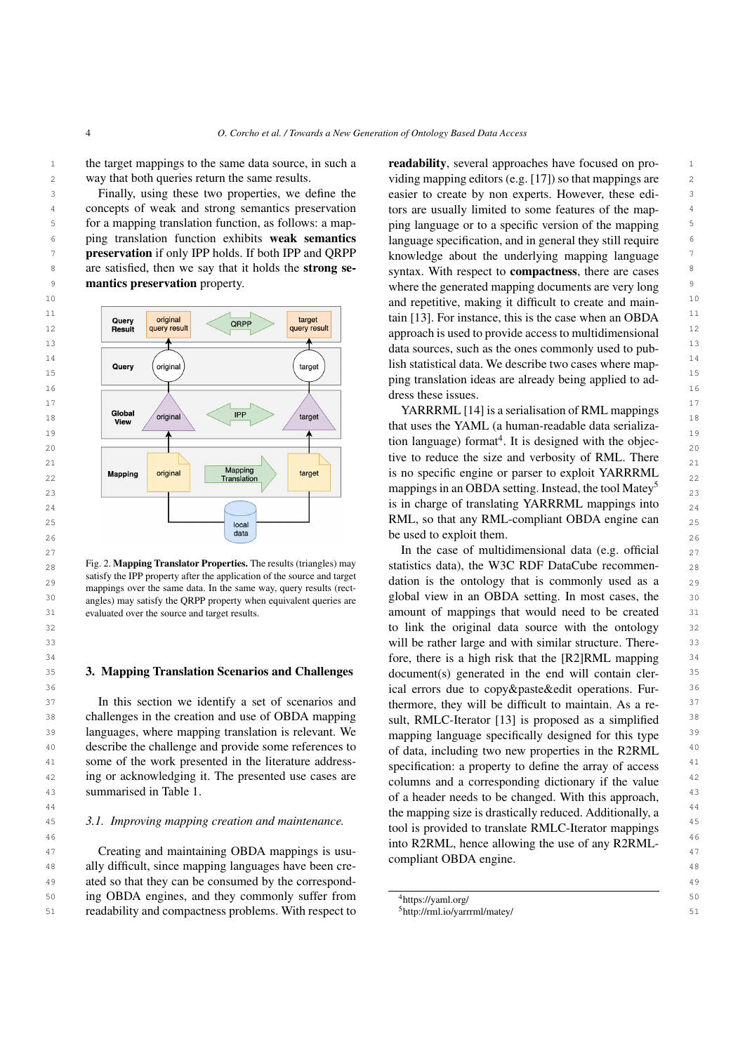<sup>1</sup> the target mappings to the same data source, in such a **readability**, several approaches have focused on proway that both queries return the same results.

Finally, using these two properties, we define the for a mapping translation function, as follows: a mapmantics preservation property.

<span id="page-3-1"></span>

Fig. 2. Mapping Translator Properties. The results (triangles) may satisfy the IPP property after the application of the source and target mappings over the same data. In the same way, query results (rectevaluated over the source and target results.

<span id="page-3-0"></span>38 challenges in the creation and use of OBDA mapping sult. RMLC-Iterator [13] is proposed as a simplified <sup>38</sup> <sup>39</sup> languages, where mapping translation is relevant. We mapping language specifically designed for this type 40 describe the challenge and provide some references to of data including two new properties in the R2RML 40 41 some of the work presented in the literature address-<br>specification: a property to define the array of access 41 <sup>42</sup> ing or acknowledging it. The presented use cases are  $\frac{1}{2}$  columns and a corresponding dictionary if the value summarised in Table [1.](#page-4-0)

47 Creating and maintaining OBDA mappings is usu-<br>47 48 ally difficult, since mapping languages have been cre-<br>48 49 49 ated so that they can be consumed by the correspond-50 50 ing OBDA engines, and they commonly suffer from 51 **51 readability and compactness problems. With respect to**  $5$ http://rml.io/yarrml/matey/

2 2 viding mapping editors (e.g. [\[17\]](#page-6-16)) so that mappings are <sup>3</sup> 3 Finally, using these two properties, we define the easier to create by non experts. However, these edi-4 concepts of weak and strong semantics preservation tors are usually limited to some features of the map-<sup>5</sup> for a mapping translation function, as follows: a map- ping language or to a specific version of the mapping <sup>6</sup> ping translation function exhibits **weak semantics** language specification, and in general they still require <sup>7</sup> **preservation** if only IPP holds. If both IPP and QRPP knowledge about the underlying mapping language <sup>8</sup> are satisfied, then we say that it holds the **strong se-** syntax. With respect to **compactness**, there are cases <sup>9</sup> **mantics preservation** property. The summary very series where the generated mapping documents are very long <sup>10</sup> and repetitive, making it difficult to create and main-<sup>10</sup>  $\frac{11}{11}$  **Query** original one original tain [\[13\]](#page-6-12). For instance, this is the case when an OBDA  $\frac{11}{11}$ Result **Query result approach** is used to provide access to multidimensional <sup>12</sup> <sup>13</sup> data sources, such as the ones commonly used to pub- $\begin{bmatrix} 14 \\ 9 \end{bmatrix}$  **Query** (original)  $\begin{bmatrix} 14 \\ 0 \end{bmatrix}$  arget) lish statistical data. We describe two cases where map-<sup>15</sup> 15 **ping translation ideas are already being applied to ad-**16 **16** 16 **16** 16 **16** 16 **16** 16 **16** 16 **16** 16 **16** 16 **16** 16 **16** 16 **16** 16 **16** 16 **16** 16 **16** 16 **16** 16 **16** 16 **16** 16 **16** 16 **16** 16 **16** 16 **16** 16 **16** 16 **16** 16 **16** 17 **17** 17 17 readability, several approaches have focused on protors are usually limited to some features of the maplanguage specification, and in general they still require knowledge about the underlying mapping language syntax. With respect to compactness, there are cases dress these issues.

 $27 \text{ In the case of multidimensional data (e.g. official}$  $_{28}$  Fig. 2. Mapping Translator Properties. The results (triangles) may statistics data), the W3C RDF DataCube recommen- $29$  satisfy the trip property and the approach of the source and target dation is the ontology that is commonly used as a  $29$ <sup>30</sup> angles) may satisfy the QRPP property when equivalent queries are global view in an OBDA setting. In most cases, the 31 evaluated over the source and target results. **amount of mappings that would need to be created** 31 32 32 to link the original data source with the ontology 33 33 will be rather large and with similar structure. There-34 34 fore, there is a high risk that the [R2]RML mapping 35 3. Mapping Translation Scenarios and Challenges document(s) generated in the end will contain cler-36 36 ical errors due to copy&paste&edit operations. Fur-<sup>37</sup> In this section we identify a set of scenarios and thermore, they will be difficult to maintain. As a re-<sup>43</sup> summarised in Table 1. The same of a header needs to be changed. With this approach, <sup>43</sup> <sup>44</sup> the mapping size is drastically reduced. Additionally, a 45 45 *3.1. Improving mapping creation and maintenance.* <sup>46</sup> <sup>46</sup> into R2RML, hence allowing the use of any R2RMLglobal view in an OBDA setting. In most cases, the document(s) generated in the end will contain clerthermore, they will be difficult to maintain. As a result, RMLC-Iterator [\[13\]](#page-6-12) is proposed as a simplified mapping language specifically designed for this type of data, including two new properties in the R2RML specification: a property to define the array of access columns and a corresponding dictionary if the value tool is provided to translate RMLC-Iterator mappings compliant OBDA engine.

<span id="page-3-2"></span> $4$ <https://yaml.org/>

<span id="page-3-3"></span><sup>5</sup>http://rml.io/yarrrml/matey/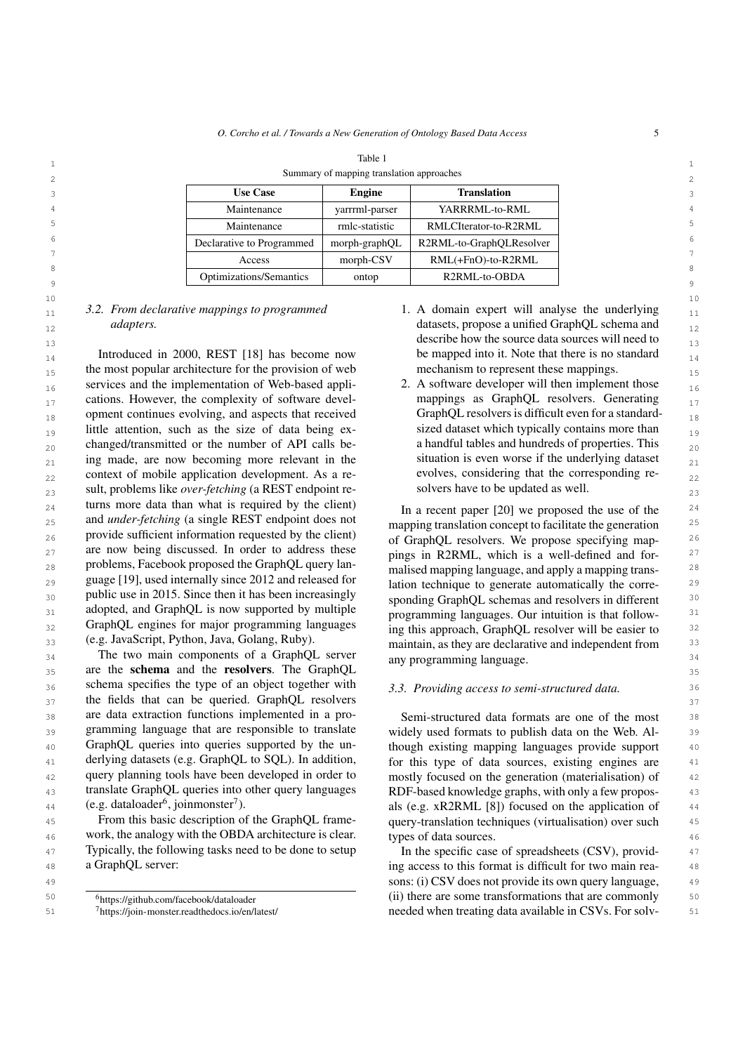| Summary of mapping translation approaches |                |                          |  |
|-------------------------------------------|----------------|--------------------------|--|
| <b>Use Case</b>                           | Engine         | <b>Translation</b>       |  |
| Maintenance                               | yarrml-parser  | YARRRML-to-RML           |  |
| Maintenance                               | rmlc-statistic | RMLCIterator-to-R2RML    |  |
| Declarative to Programmed                 | morph-graphQL  | R2RML-to-GraphQLResolver |  |
| Access                                    | morph-CSV      | RML(+FnO)-to-R2RML       |  |
| <b>Optimizations/Semantics</b>            | ontop          | R2RML-to-OBDA            |  |

<span id="page-4-0"></span>1 1 Table 1

|                                              |                                                   | -1 C |
|----------------------------------------------|---------------------------------------------------|------|
| 3.2. From declarative mappings to programmed | 1. A domain expert will analyse the underlying    | 11   |
| <i>adapters.</i>                             | datasets, propose a unified GraphQL schema and    | 12   |
|                                              | describe how the source data sources will need to | 13   |
| Introduced in 2000, REST [18] has become now | be mapped into it. Note that there is no standard | 14   |

# *3.2. From declarative mappings to programmed adapters.*

14 14 be mapped into it. Note that there is no standard the most popular architecture for the provision of web mechanism to represent these mappings. 16 services and the implementation of Web-based appli-<br>2. A software developer will then implement those  $\frac{16}{16}$  $_{17}$  cations. However, the complexity of software devel-<br> $_{17}$  mappings as GraphQL resolvers. Generating 18 opment continues evolving, and aspects that received  $GraphQL$  resolvers is difficult even for a standard-19 11ttle attention, such as the size of data being ex-<br>
19 12 13  $_{20}$  changed/transmitted or the number of API calls be-<br>a handful tables and hundreds of properties. This  $_{21}$  ing made, are now becoming more relevant in the situation is even worse if the underlying dataset  $_{21}$  $_{22}$  context of mobile application development. As a re-<br> $_{22}$  evolves, considering that the corresponding re-23 sult, problems like *over-fetching* (a REST endpoint re-<br>23  $24$  a courns more data than what is required by the cheme of the  $24$  In a recent paper [\[20\]](#page-6-19) we proposed the use of the  $24$  $25$  and *under-jeiching* (a single REST endpoint does not mapping translation concept to facilitate the generation  $25$  $26$  provide sufficient information requested by the chem. of GraphQL resolvers. We propose specifying map- $27$  are now being unclussed. In other to address these pings in R2RML, which is a well-defined and for-28 Problems, Facebook proposed the GraphQL query lan-<br>malised mapping language, and apply a mapping trans- $_{29}$  guage [19], used internative since 2012 and released for a lation technique to generate automatically the corre-<sup>30</sup> public use in 2015. Since then it has been increasingly sponding GraphQL schemas and resolvers in different  $\frac{31}{2}$  adopted, and GraphQL is now supported by multiple programming languages. Our intuition is that follow-32 StraphQL engines for major programming languages ing this approach, GraphQL resolver will be easier to <sup>32</sup>  $I$  in 2000, REST  $[18]$  has become now turns more data than what is required by the client) and *under-fetching* (a single REST endpoint does not provide sufficient information requested by the client) are now being discussed. In order to address these problems, Facebook proposed the GraphQL query language [\[19\]](#page-6-18), used internally since 2012 and released for public use in 2015. Since then it has been increasingly adopted, and GraphQL is now supported by multiple GraphQL engines for major programming languages (e.g. JavaScript, Python, Java, Golang, Ruby).

<sup>34</sup> 34 **34 The two main components of a GraphQL server** any programming language  $35$  are the schema and the resolvers. The GraphQL  $35$ <sup>36</sup> schema specifies the type of an object together with 3.3. *Providing access to semi-structured data*.  $37$  the fields that can be queried. GraphQL resolvers 38 are data extraction functions implemented in a pro-<br>Semi-structured data formats are one of the most 39 **139 gramming language that are responsible to translate** widely used formats to publish data on the Web. Al-40 GraphQL queries into queries supported by the un-<br>though existing mapping languages provide support 40 <sup>41</sup> derlying datasets (e.g. GraphQL to SQL). In addition, for this type of data sources, existing engines are <sup>41</sup> 42 query planning tools have been developed in order to mostly focused on the generation (materialisation) of 42 <sup>43</sup> translate GraphQL queries into other query languages RDF-based knowledge graphs, with only a few propos-44 (e.g. dataloader<sup>o</sup>, joinmonster'). als (e.g. xR2RML [\[8\]](#page-6-7)) focused on the application of 44 schema specifies the type of an object together with are data extraction functions implemented in a programming language that are responsible to translate GraphQL queries into queries supported by the underlying datasets (e.g. GraphQL to SQL). In addition, query planning tools have been developed in order to translate GraphQL queries into other query languages  $(e.g. \text{ database}^{6}, \text{join} \text{nonster}^{7}).$  $(e.g. \text{ database}^{6}, \text{join} \text{nonster}^{7}).$  $(e.g. \text{ database}^{6}, \text{join} \text{nonster}^{7}).$  $(e.g. \text{ database}^{6}, \text{join} \text{nonster}^{7}).$  $(e.g. \text{ database}^{6}, \text{join} \text{nonster}^{7}).$ 

45 From this basic description of the GraphQL frame- query-translation techniques (virtualisation) over such 45 46 work, the analogy with the OBDA architecture is clear. types of data sources. <sup>47</sup> Typically, the following tasks need to be done to setup In the specific case of spreadsheets (CSV), provid-From this basic description of the GraphQL frame-Typically, the following tasks need to be done to setup a GraphQL server:

- 11 3.2. From declarative mappings to programmed 1. A domain expert will analyse the underlying  $_{11}$  $adapters.$  adapters.  $adapters.$ describe how the source data sources will need to  $\frac{13}{13}$ mechanism to represent these mappings.
	- 2. A software developer will then implement those mappings as GraphQL resolvers. Generating GraphQL resolvers is difficult even for a standardsized dataset which typically contains more than a handful tables and hundreds of properties. This situation is even worse if the underlying dataset evolves, considering that the corresponding resolvers have to be updated as well.

33 (e.g. JavaScript, Python, Java, Golang, Ruby). maintain, as they are declarative and independent from <sup>33</sup> any programming language.

types of data sources.

48 **a GraphQL server: a ing access to this format is difficult for two main rea-** 48 49 49 sons: (i) CSV does not provide its own query language, <sup>50</sup> 50 <sup>6</sup>https://github.com/facebook/dataloader (ii) there are some transformations that are commonly <sup>50</sup> 51 <sup>7</sup>https://join-monster.readthedocs.io/en/latest/ **1200 needed when treating data available in CSVs.** For solv-

<span id="page-4-2"></span><span id="page-4-1"></span><sup>6</sup><https://github.com/facebook/dataloader>

<sup>7</sup><https://join-monster.readthedocs.io/en/latest/>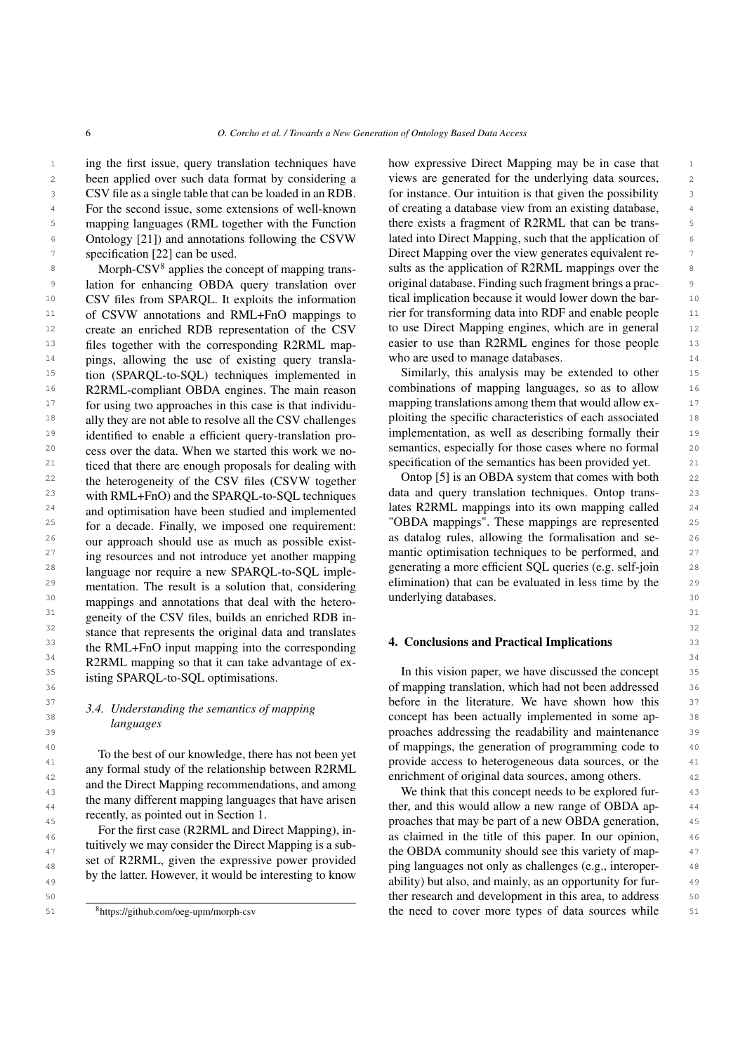<sup>1</sup> ing the first issue, query translation techniques have how expressive Direct Mapping may be in case that <sup>1</sup> 2 been applied over such data format by considering a views are generated for the underlying data sources, 2 3 3 CSV file as a single table that can be loaded in an RDB. <sup>4</sup> For the second issue, some extensions of well-known of creating a database view from an existing database, 5 5 mapping languages (RML together with the Function <sup>6</sup> Ontology [\[21\]](#page-6-20)) and annotations following the CSVW lated into Direct Mapping, such that the application of 7 **11** 12 Specification [22] can be used. **Direct Mapping over the view generates equivalent re-**specification [\[22\]](#page-6-21) can be used.

8 Morph-CSV<sup>8</sup> applies the concept of mapping trans-<br>sults as the application of R2RML mappings over the <sup>9</sup> lation for enhancing OBDA query translation over original database. Finding such fragment brings a prac-<sup>10</sup> CSV files from SPARQL. It exploits the information tical implication because it would lower down the bar-<sup>11</sup> of CSVW annotations and RML+FnO mappings to rier for transforming data into RDF and enable people <sup>11</sup> 12 create an enriched RDB representation of the CSV to use Direct Mapping engines, which are in general 12 13 files together with the corresponding R2RML map-<br>13 files to use than R2RML engines for those people 13 <sup>14</sup> pings, allowing the use of existing query transla- who are used to manage databases. <sup>15</sup> tion (SPARQL-to-SQL) techniques implemented in Similarly, this analysis may be extended to other <sup>15</sup> <sup>16</sup> R2RML-compliant OBDA engines. The main reason combinations of mapping languages, so as to allow <sup>16</sup> <sup>17</sup> for using two approaches in this case is that individu-<br><sup>17</sup> for using two approaches in this case is that individu-<br>mapping translations among them that would allow ex-<sup>18</sup> ally they are not able to resolve all the CSV challenges ploiting the specific characteristics of each associated <sup>18</sup> <sup>19</sup> identified to enable a efficient query-translation pro-<br><sup>19</sup> implementation, as well as describing formally their <sup>20</sup> cess over the data. When we started this work we no-<br><sup>20</sup> semantics, especially for those cases where no formal <sup>20</sup>  $^{21}$  ticed that there are enough proposals for dealing with specification of the semantics has been provided yet.  $^{21}$ <sup>22</sup> the heterogeneity of the CSV files (CSVW together Ontop [\[5\]](#page-6-4) is an OBDA system that comes with both <sup>22</sup>  $^{23}$  with RMI +FnO) and the SPAROL-to-SOL techniques data and query translation techniques. Ontop trans-<sup>24</sup> and optimisation have been studied and implemented lates R2RML mappings into its own mapping called <sup>24</sup>  $^{25}$  for a decade. Finally we imposed one requirement: "OBDA mappings". These mappings are represented  $^{25}$  $^{26}$  our approach should use as much as possible exist- as datalog rules, allowing the formalisation and se-  $^{26}$  $27$  in resources and not introduce vet another manning mantic optimisation techniques to be performed, and  $27$ <sup>28</sup> language nor require a new SPAROI -to-SOI imple-<br>generating a more efficient SQL queries (e.g. self-join <sup>28</sup>  $^{29}$  mentation. The result is a solution that considering elimination) that can be evaluated in less time by the 29 <sup>30</sup> mappings and annotations that deal with the hetero-<br><sup>30</sup> underlying databases. 31 31 geneity of the CSV files, builds an enriched RDB in-<sup>32</sup> stance that represents the original data and translates<sup>32</sup>  $\frac{33}{4}$  the PMI  $\pm$ Fro input manning into the corresponding 4. Conclusions and Practical Implications  $\frac{33}{4}$  $R2RML$  mapping so that it can take advantage of ex-<br>34  $\frac{35}{15}$  is the SPAROL to-SOL optimisations and  $\frac{35}{15}$  In this vision paper, we have discussed the concept  $\frac{35}{15}$ Morph-CSV<sup>[8](#page-5-1)</sup> applies the concept of mapping transof CSVW annotations and RML+FnO mappings to create an enriched RDB representation of the CSV files together with the corresponding R2RML mapfor using two approaches in this case is that individually they are not able to resolve all the CSV challenges identified to enable a efficient query-translation process over the data. When we started this work we noticed that there are enough proposals for dealing with the heterogeneity of the CSV files (CSVW together with RML+FnO) and the SPARQL-to-SQL techniques and optimisation have been studied and implemented for a decade. Finally, we imposed one requirement: our approach should use as much as possible existing resources and not introduce yet another mapping language nor require a new SPARQL-to-SQL implementation. The result is a solution that, considering the RML+FnO input mapping into the corresponding isting SPARQL-to-SQL optimisations.

# *3.4. Understanding the semantics of mapping languages*

43 and the Direct Mapping is conception of the monographic state in the concept needs to be explored fur-<br>43 the monographic behavior of the concept needs to be explored fur-To the best of our knowledge, there has not been yet any formal study of the relationship between R2RML and the Direct Mapping recommendations, and among the many different mapping languages that have arisen recently, as pointed out in Section [1.](#page-1-0)

For the first case (R2RML and Direct Mapping), intuitively we may consider the Direct Mapping is a subset of R2RML, given the expressive power provided by the latter. However, it would be interesting to know how expressive Direct Mapping may be in case that views are generated for the underlying data sources, for instance. Our intuition is that given the possibility of creating a database view from an existing database, there exists a fragment of R2RML that can be translated into Direct Mapping, such that the application of original database. Finding such fragment brings a practical implication because it would lower down the barwho are used to manage databases.

Similarly, this analysis may be extended to other combinations of mapping languages, so as to allow

<span id="page-5-0"></span>underlying databases.

36 36 of mapping translation, which had not been addressed <sup>37</sup> 3*A* Understanding the semantics of manning before in the literature. We have shown how this <sup>37</sup> 38 <sup>211</sup> **Concept has been actually implemented in some ap-** 38 39 39 proaches addressing the readability and maintenance <sup>40</sup> **40 T<sub>h</sub>** the heat of surely provided to the generation of programming code to 40 <sup>41</sup> <sup>1</sup> <sup>1</sup> and sources, or the <sup>41</sup> and sources, or the <sup>41</sup> and sources to heterogeneous data sources, or the <sup>41</sup> 42 any other and y or the tetationship occurred the sources enrichment of original data sources, among others. 42

<sup>44</sup> <sup>44</sup> <sup>44</sup> **ther, and this would allow a new range of OBDA ap-**<sup>44</sup> <sup>45</sup> **proaches that may be part of a new OBDA generation,** <sup>45</sup> 46 46 as claimed in the title of this paper. In our opinion, <sup>47</sup> the OBDA community should see this variety of map-<br><sup>47</sup> <sup>48</sup> 321 of K2KWL, given the expressive power provided bing languages not only as challenges (e.g., interoper- $\frac{49}{49}$  by the fatter. However, it would be interesting to know ability) but also, and mainly, as an opportunity for fur-50 50 ther research and development in this area, to address 51 <sup>8</sup>https://github.com/oeg-upm/morph-csv the need to cover more types of data sources while 51

<span id="page-5-1"></span><sup>8</sup>https://github.com/oeg-upm/morph-csv